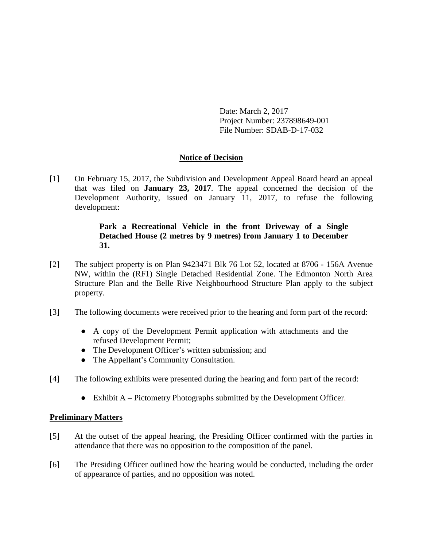Date: March 2, 2017 Project Number: 237898649-001 File Number: SDAB-D-17-032

# **Notice of Decision**

[1] On February 15, 2017, the Subdivision and Development Appeal Board heard an appeal that was filed on **January 23, 2017**. The appeal concerned the decision of the Development Authority, issued on January 11, 2017, to refuse the following development:

# **Park a Recreational Vehicle in the front Driveway of a Single Detached House (2 metres by 9 metres) from January 1 to December 31.**

- [2] The subject property is on Plan 9423471 Blk 76 Lot 52, located at 8706 156A Avenue NW, within the (RF1) Single Detached Residential Zone. The Edmonton North Area Structure Plan and the Belle Rive Neighbourhood Structure Plan apply to the subject property.
- [3] The following documents were received prior to the hearing and form part of the record:
	- A copy of the Development Permit application with attachments and the refused Development Permit;
	- The Development Officer's written submission; and
	- The Appellant's Community Consultation.
- [4] The following exhibits were presented during the hearing and form part of the record:
	- Exhibit A Pictometry Photographs submitted by the Development Officer.

# **Preliminary Matters**

- [5] At the outset of the appeal hearing, the Presiding Officer confirmed with the parties in attendance that there was no opposition to the composition of the panel.
- [6] The Presiding Officer outlined how the hearing would be conducted, including the order of appearance of parties, and no opposition was noted.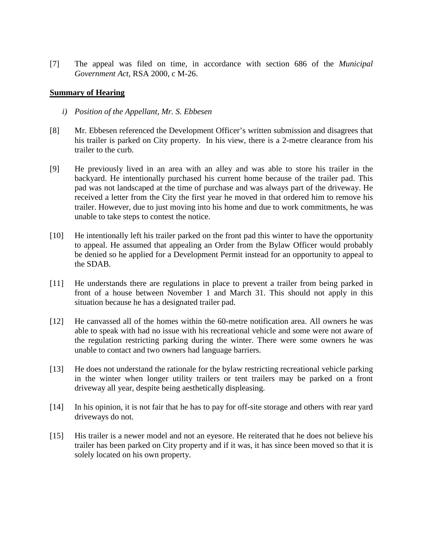[7] The appeal was filed on time, in accordance with section 686 of the *Municipal Government Act*, RSA 2000, c M-26.

## **Summary of Hearing**

- *i) Position of the Appellant, Mr. S. Ebbesen*
- [8] Mr. Ebbesen referenced the Development Officer's written submission and disagrees that his trailer is parked on City property. In his view, there is a 2-metre clearance from his trailer to the curb.
- [9] He previously lived in an area with an alley and was able to store his trailer in the backyard. He intentionally purchased his current home because of the trailer pad. This pad was not landscaped at the time of purchase and was always part of the driveway. He received a letter from the City the first year he moved in that ordered him to remove his trailer. However, due to just moving into his home and due to work commitments, he was unable to take steps to contest the notice.
- [10] He intentionally left his trailer parked on the front pad this winter to have the opportunity to appeal. He assumed that appealing an Order from the Bylaw Officer would probably be denied so he applied for a Development Permit instead for an opportunity to appeal to the SDAB.
- [11] He understands there are regulations in place to prevent a trailer from being parked in front of a house between November 1 and March 31. This should not apply in this situation because he has a designated trailer pad.
- [12] He canvassed all of the homes within the 60-metre notification area. All owners he was able to speak with had no issue with his recreational vehicle and some were not aware of the regulation restricting parking during the winter. There were some owners he was unable to contact and two owners had language barriers.
- [13] He does not understand the rationale for the bylaw restricting recreational vehicle parking in the winter when longer utility trailers or tent trailers may be parked on a front driveway all year, despite being aesthetically displeasing.
- [14] In his opinion, it is not fair that he has to pay for off-site storage and others with rear yard driveways do not.
- [15] His trailer is a newer model and not an eyesore. He reiterated that he does not believe his trailer has been parked on City property and if it was, it has since been moved so that it is solely located on his own property.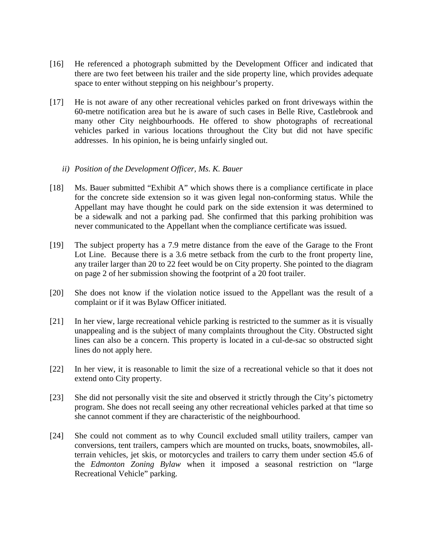- [16] He referenced a photograph submitted by the Development Officer and indicated that there are two feet between his trailer and the side property line, which provides adequate space to enter without stepping on his neighbour's property.
- [17] He is not aware of any other recreational vehicles parked on front driveways within the 60-metre notification area but he is aware of such cases in Belle Rive, Castlebrook and many other City neighbourhoods. He offered to show photographs of recreational vehicles parked in various locations throughout the City but did not have specific addresses. In his opinion, he is being unfairly singled out.

## *ii) Position of the Development Officer, Ms. K. Bauer*

- [18] Ms. Bauer submitted "Exhibit A" which shows there is a compliance certificate in place for the concrete side extension so it was given legal non-conforming status. While the Appellant may have thought he could park on the side extension it was determined to be a sidewalk and not a parking pad. She confirmed that this parking prohibition was never communicated to the Appellant when the compliance certificate was issued.
- [19] The subject property has a 7.9 metre distance from the eave of the Garage to the Front Lot Line. Because there is a 3.6 metre setback from the curb to the front property line, any trailer larger than 20 to 22 feet would be on City property. She pointed to the diagram on page 2 of her submission showing the footprint of a 20 foot trailer.
- [20] She does not know if the violation notice issued to the Appellant was the result of a complaint or if it was Bylaw Officer initiated.
- [21] In her view, large recreational vehicle parking is restricted to the summer as it is visually unappealing and is the subject of many complaints throughout the City. Obstructed sight lines can also be a concern. This property is located in a cul-de-sac so obstructed sight lines do not apply here.
- [22] In her view, it is reasonable to limit the size of a recreational vehicle so that it does not extend onto City property.
- [23] She did not personally visit the site and observed it strictly through the City's pictometry program. She does not recall seeing any other recreational vehicles parked at that time so she cannot comment if they are characteristic of the neighbourhood.
- [24] She could not comment as to why Council excluded small utility trailers, camper van conversions, tent trailers, campers which are mounted on trucks, boats, snowmobiles, allterrain vehicles, jet skis, or motorcycles and trailers to carry them under section 45.6 of the *Edmonton Zoning Bylaw* when it imposed a seasonal restriction on "large Recreational Vehicle" parking.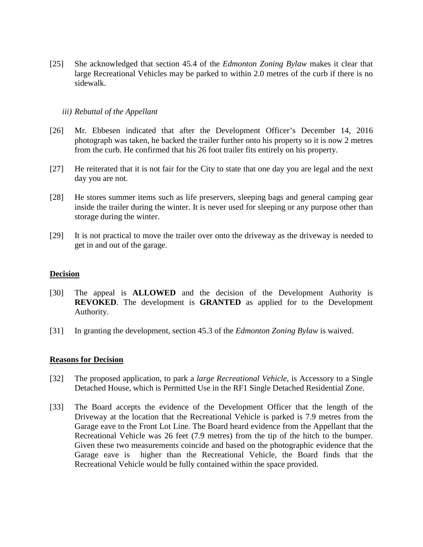[25] She acknowledged that section 45.4 of the *Edmonton Zoning Bylaw* makes it clear that large Recreational Vehicles may be parked to within 2.0 metres of the curb if there is no sidewalk.

### *iii) Rebuttal of the Appellant*

- [26] Mr. Ebbesen indicated that after the Development Officer's December 14, 2016 photograph was taken, he backed the trailer further onto his property so it is now 2 metres from the curb. He confirmed that his 26 foot trailer fits entirely on his property.
- [27] He reiterated that it is not fair for the City to state that one day you are legal and the next day you are not.
- [28] He stores summer items such as life preservers, sleeping bags and general camping gear inside the trailer during the winter. It is never used for sleeping or any purpose other than storage during the winter.
- [29] It is not practical to move the trailer over onto the driveway as the driveway is needed to get in and out of the garage.

#### **Decision**

- [30] The appeal is **ALLOWED** and the decision of the Development Authority is **REVOKED**. The development is **GRANTED** as applied for to the Development Authority.
- [31] In granting the development, section 45.3 of the *Edmonton Zoning Bylaw* is waived.

#### **Reasons for Decision**

- [32] The proposed application, to park a *large Recreational Vehicle*, is Accessory to a Single Detached House, which is Permitted Use in the RF1 Single Detached Residential Zone.
- [33] The Board accepts the evidence of the Development Officer that the length of the Driveway at the location that the Recreational Vehicle is parked is 7.9 metres from the Garage eave to the Front Lot Line. The Board heard evidence from the Appellant that the Recreational Vehicle was 26 feet (7.9 metres) from the tip of the hitch to the bumper. Given these two measurements coincide and based on the photographic evidence that the Garage eave is higher than the Recreational Vehicle, the Board finds that the Recreational Vehicle would be fully contained within the space provided.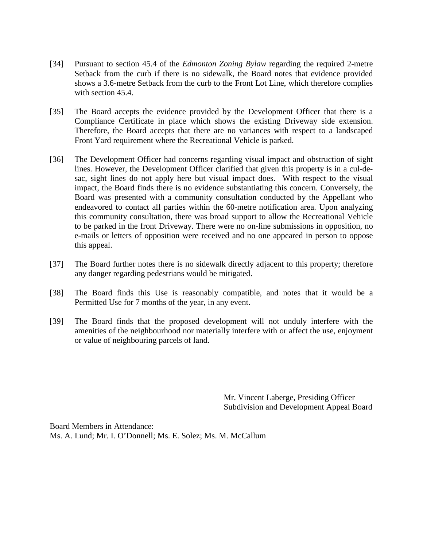- [34] Pursuant to section 45.4 of the *Edmonton Zoning Bylaw* regarding the required 2-metre Setback from the curb if there is no sidewalk, the Board notes that evidence provided shows a 3.6-metre Setback from the curb to the Front Lot Line, which therefore complies with section 45.4.
- [35] The Board accepts the evidence provided by the Development Officer that there is a Compliance Certificate in place which shows the existing Driveway side extension. Therefore, the Board accepts that there are no variances with respect to a landscaped Front Yard requirement where the Recreational Vehicle is parked.
- [36] The Development Officer had concerns regarding visual impact and obstruction of sight lines. However, the Development Officer clarified that given this property is in a cul-desac, sight lines do not apply here but visual impact does. With respect to the visual impact, the Board finds there is no evidence substantiating this concern. Conversely, the Board was presented with a community consultation conducted by the Appellant who endeavored to contact all parties within the 60-metre notification area. Upon analyzing this community consultation, there was broad support to allow the Recreational Vehicle to be parked in the front Driveway. There were no on-line submissions in opposition, no e-mails or letters of opposition were received and no one appeared in person to oppose this appeal.
- [37] The Board further notes there is no sidewalk directly adjacent to this property; therefore any danger regarding pedestrians would be mitigated.
- [38] The Board finds this Use is reasonably compatible, and notes that it would be a Permitted Use for 7 months of the year, in any event.
- [39] The Board finds that the proposed development will not unduly interfere with the amenities of the neighbourhood nor materially interfere with or affect the use, enjoyment or value of neighbouring parcels of land.

Mr. Vincent Laberge, Presiding Officer Subdivision and Development Appeal Board

Board Members in Attendance: Ms. A. Lund; Mr. I. O'Donnell; Ms. E. Solez; Ms. M. McCallum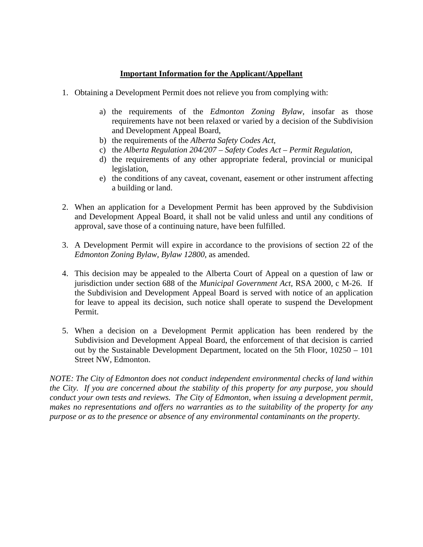## **Important Information for the Applicant/Appellant**

- 1. Obtaining a Development Permit does not relieve you from complying with:
	- a) the requirements of the *Edmonton Zoning Bylaw*, insofar as those requirements have not been relaxed or varied by a decision of the Subdivision and Development Appeal Board,
	- b) the requirements of the *Alberta Safety Codes Act*,
	- c) the *Alberta Regulation 204/207 – Safety Codes Act – Permit Regulation*,
	- d) the requirements of any other appropriate federal, provincial or municipal legislation,
	- e) the conditions of any caveat, covenant, easement or other instrument affecting a building or land.
- 2. When an application for a Development Permit has been approved by the Subdivision and Development Appeal Board, it shall not be valid unless and until any conditions of approval, save those of a continuing nature, have been fulfilled.
- 3. A Development Permit will expire in accordance to the provisions of section 22 of the *Edmonton Zoning Bylaw, Bylaw 12800*, as amended.
- 4. This decision may be appealed to the Alberta Court of Appeal on a question of law or jurisdiction under section 688 of the *Municipal Government Act*, RSA 2000, c M-26. If the Subdivision and Development Appeal Board is served with notice of an application for leave to appeal its decision, such notice shall operate to suspend the Development Permit.
- 5. When a decision on a Development Permit application has been rendered by the Subdivision and Development Appeal Board, the enforcement of that decision is carried out by the Sustainable Development Department, located on the 5th Floor, 10250 – 101 Street NW, Edmonton.

*NOTE: The City of Edmonton does not conduct independent environmental checks of land within the City. If you are concerned about the stability of this property for any purpose, you should conduct your own tests and reviews. The City of Edmonton, when issuing a development permit, makes no representations and offers no warranties as to the suitability of the property for any purpose or as to the presence or absence of any environmental contaminants on the property.*